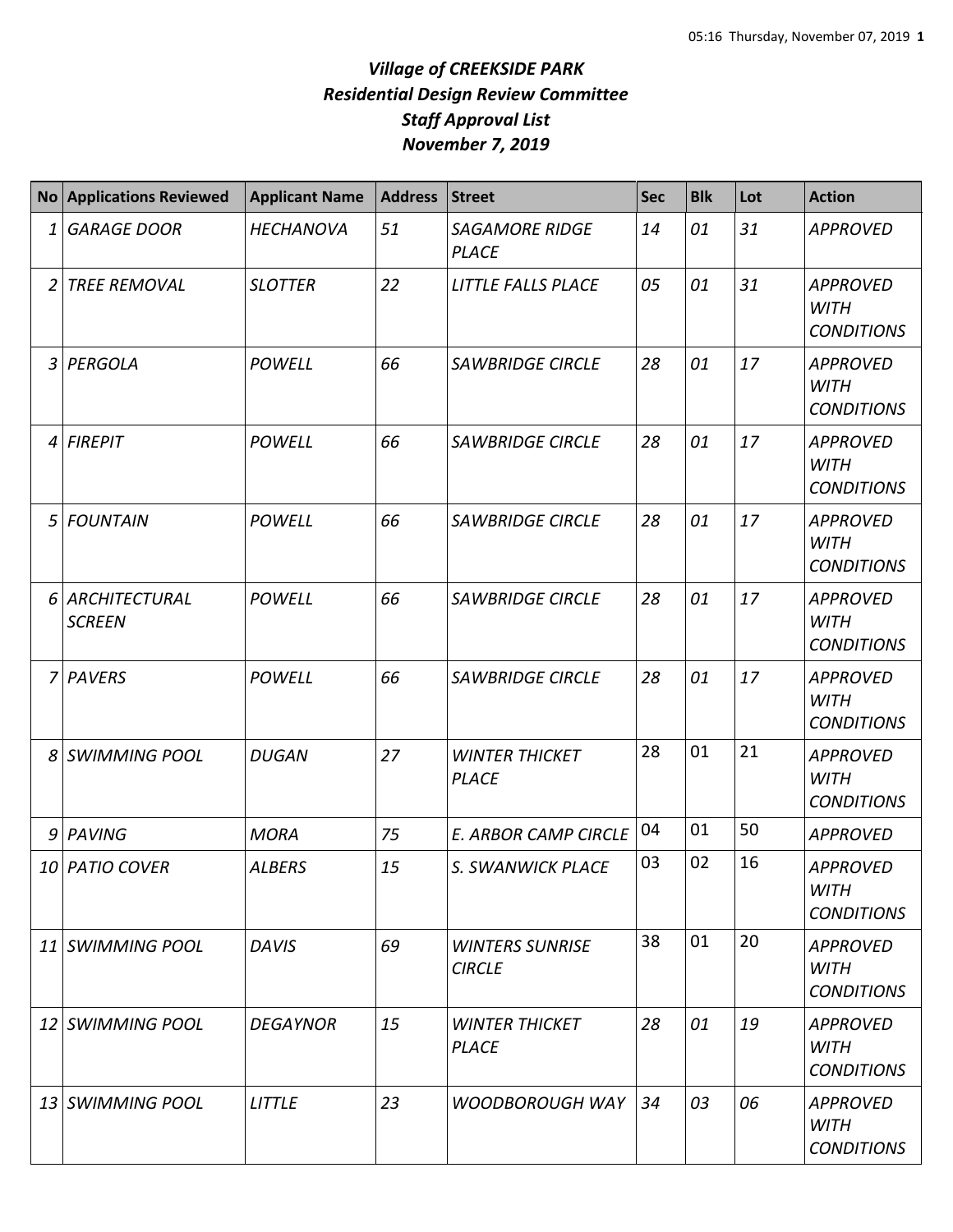## *Village of CREEKSIDE PARK Residential Design Review Committee Staff Approval List November 7, 2019*

|                | <b>No Applications Reviewed</b>  | <b>Applicant Name</b> | <b>Address</b> | <b>Street</b>                           | <b>Sec</b> | <b>Blk</b> | Lot | <b>Action</b>                                       |
|----------------|----------------------------------|-----------------------|----------------|-----------------------------------------|------------|------------|-----|-----------------------------------------------------|
| 1              | <b>GARAGE DOOR</b>               | <b>HECHANOVA</b>      | 51             | <b>SAGAMORE RIDGE</b><br><b>PLACE</b>   | 14         | 01         | 31  | <b>APPROVED</b>                                     |
| 2              | <b>TREE REMOVAL</b>              | <b>SLOTTER</b>        | 22             | LITTLE FALLS PLACE                      | 05         | 01         | 31  | <b>APPROVED</b><br><b>WITH</b><br><b>CONDITIONS</b> |
| $\overline{3}$ | PERGOLA                          | <b>POWELL</b>         | 66             | <b>SAWBRIDGE CIRCLE</b>                 | 28         | 01         | 17  | <b>APPROVED</b><br><b>WITH</b><br><b>CONDITIONS</b> |
| 4              | <b>FIREPIT</b>                   | <b>POWELL</b>         | 66             | <b>SAWBRIDGE CIRCLE</b>                 | 28         | 01         | 17  | <b>APPROVED</b><br><b>WITH</b><br><b>CONDITIONS</b> |
| 5              | <b>FOUNTAIN</b>                  | <b>POWELL</b>         | 66             | <b>SAWBRIDGE CIRCLE</b>                 | 28         | 01         | 17  | <b>APPROVED</b><br><b>WITH</b><br><b>CONDITIONS</b> |
|                | 6 ARCHITECTURAL<br><b>SCREEN</b> | <b>POWELL</b>         | 66             | <b>SAWBRIDGE CIRCLE</b>                 | 28         | 01         | 17  | <b>APPROVED</b><br><b>WITH</b><br><b>CONDITIONS</b> |
| 7              | PAVERS                           | POWELL                | 66             | <b>SAWBRIDGE CIRCLE</b>                 | 28         | 01         | 17  | <b>APPROVED</b><br><b>WITH</b><br><b>CONDITIONS</b> |
| 8              | SWIMMING POOL                    | <b>DUGAN</b>          | 27             | <b>WINTER THICKET</b><br><b>PLACE</b>   | 28         | 01         | 21  | <b>APPROVED</b><br><b>WITH</b><br><b>CONDITIONS</b> |
| 9              | PAVING                           | <b>MORA</b>           | 75             | <b>E. ARBOR CAMP CIRCLE</b>             | 04         | 01         | 50  | <b>APPROVED</b>                                     |
|                | 10 PATIO COVER                   | <b>ALBERS</b>         | 15             | S. SWANWICK PLACE                       | 03         | 02         | 16  | <b>APPROVED</b><br><b>WITH</b><br><b>CONDITIONS</b> |
|                | 11 SWIMMING POOL                 | <b>DAVIS</b>          | 69             | <b>WINTERS SUNRISE</b><br><b>CIRCLE</b> | 38         | 01         | 20  | <b>APPROVED</b><br>WITH<br><b>CONDITIONS</b>        |
|                | 12 SWIMMING POOL                 | <b>DEGAYNOR</b>       | 15             | <b>WINTER THICKET</b><br><b>PLACE</b>   | 28         | 01         | 19  | APPROVED<br>WITH<br><b>CONDITIONS</b>               |
|                | 13 SWIMMING POOL                 | <b>LITTLE</b>         | 23             | <b>WOODBOROUGH WAY</b>                  | 34         | 03         | 06  | <b>APPROVED</b><br>WITH<br><b>CONDITIONS</b>        |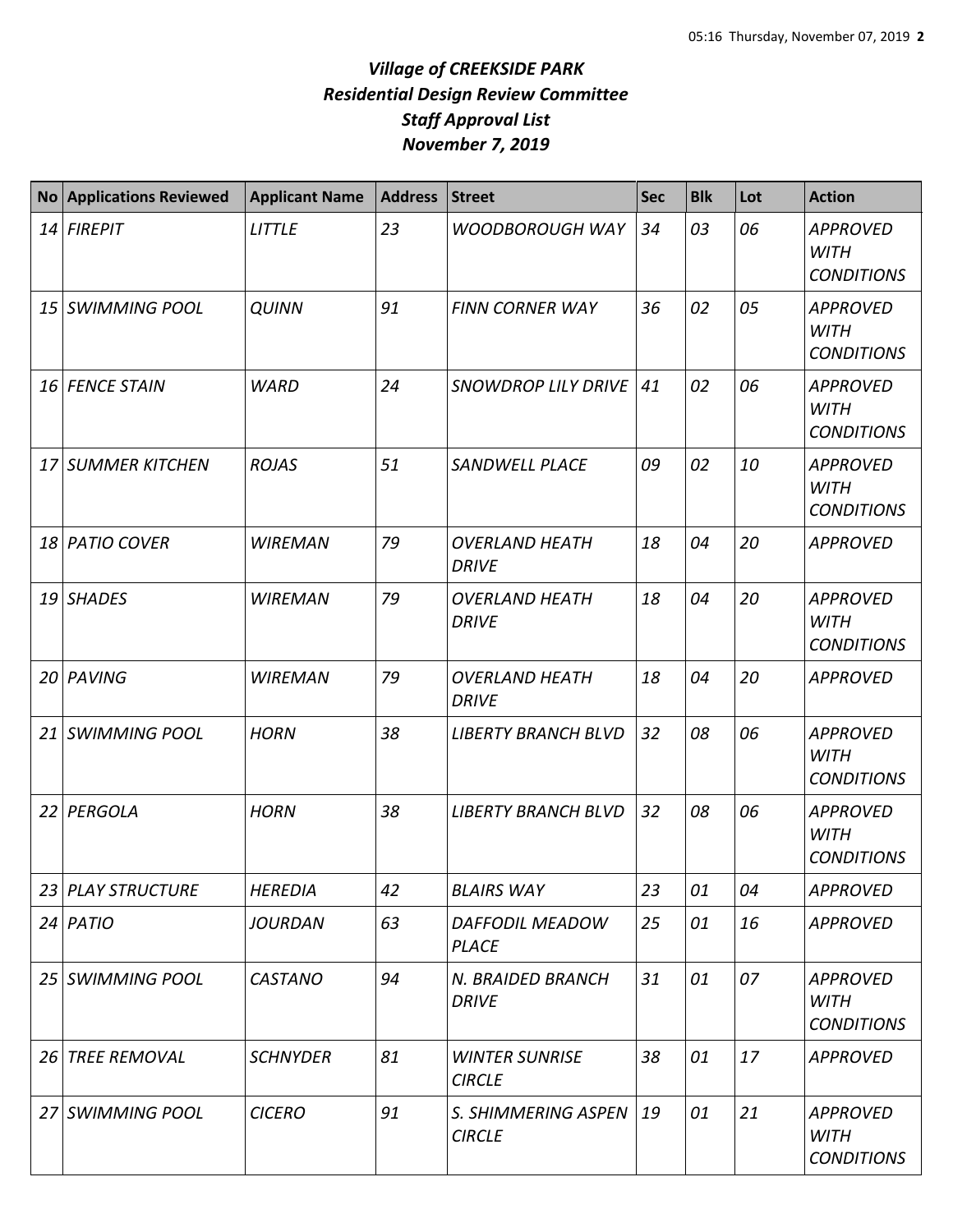## *Village of CREEKSIDE PARK Residential Design Review Committee Staff Approval List November 7, 2019*

| No Applications Reviewed | <b>Applicant Name</b> | <b>Address</b> | <b>Street</b>                          | <b>Sec</b> | <b>Blk</b> | Lot | <b>Action</b>                                       |
|--------------------------|-----------------------|----------------|----------------------------------------|------------|------------|-----|-----------------------------------------------------|
| 14 FIREPIT               | <b>LITTLE</b>         | 23             | <b>WOODBOROUGH WAY</b>                 | 34         | 03         | 06  | <b>APPROVED</b><br><b>WITH</b><br><b>CONDITIONS</b> |
| 15 SWIMMING POOL         | <b>QUINN</b>          | 91             | <b>FINN CORNER WAY</b>                 | 36         | 02         | 05  | <b>APPROVED</b><br><b>WITH</b><br><b>CONDITIONS</b> |
| 16 FENCE STAIN           | <b>WARD</b>           | 24             | <b>SNOWDROP LILY DRIVE</b>             | 41         | 02         | 06  | <b>APPROVED</b><br><b>WITH</b><br><b>CONDITIONS</b> |
| 17 SUMMER KITCHEN        | <b>ROJAS</b>          | 51             | <b>SANDWELL PLACE</b>                  | 09         | 02         | 10  | <b>APPROVED</b><br><b>WITH</b><br><b>CONDITIONS</b> |
| 18 PATIO COVER           | <b>WIREMAN</b>        | 79             | <b>OVERLAND HEATH</b><br><b>DRIVE</b>  | 18         | 04         | 20  | <b>APPROVED</b>                                     |
| 19 SHADES                | <b>WIREMAN</b>        | 79             | <b>OVERLAND HEATH</b><br><b>DRIVE</b>  | 18         | 04         | 20  | <b>APPROVED</b><br><b>WITH</b><br><b>CONDITIONS</b> |
| 20 PAVING                | <b>WIREMAN</b>        | 79             | <b>OVERLAND HEATH</b><br><b>DRIVE</b>  | 18         | 04         | 20  | <b>APPROVED</b>                                     |
| 21 SWIMMING POOL         | <b>HORN</b>           | 38             | <b>LIBERTY BRANCH BLVD</b>             | 32         | 08         | 06  | <b>APPROVED</b><br><b>WITH</b><br><b>CONDITIONS</b> |
| 22 PERGOLA               | <b>HORN</b>           | 38             | <b>LIBERTY BRANCH BLVD</b>             | 32         | 08         | 06  | <b>APPROVED</b><br><b>WITH</b><br><b>CONDITIONS</b> |
| 23 PLAY STRUCTURE        | <b>HEREDIA</b>        | 42             | <b>BLAIRS WAY</b>                      | 23         | 01         | 04  | <b>APPROVED</b>                                     |
| $24$ PATIO               | <b>JOURDAN</b>        | 63             | DAFFODIL MEADOW<br><b>PLACE</b>        | 25         | 01         | 16  | <b>APPROVED</b>                                     |
| 25 SWIMMING POOL         | <b>CASTANO</b>        | 94             | N. BRAIDED BRANCH<br><b>DRIVE</b>      | 31         | 01         | 07  | <b>APPROVED</b><br><b>WITH</b><br><b>CONDITIONS</b> |
| 26 TREE REMOVAL          | <b>SCHNYDER</b>       | 81             | <b>WINTER SUNRISE</b><br><b>CIRCLE</b> | 38         | 01         | 17  | <b>APPROVED</b>                                     |
| 27 SWIMMING POOL         | <b>CICERO</b>         | 91             | S. SHIMMERING ASPEN<br><b>CIRCLE</b>   | 19         | 01         | 21  | <b>APPROVED</b><br><b>WITH</b><br><b>CONDITIONS</b> |